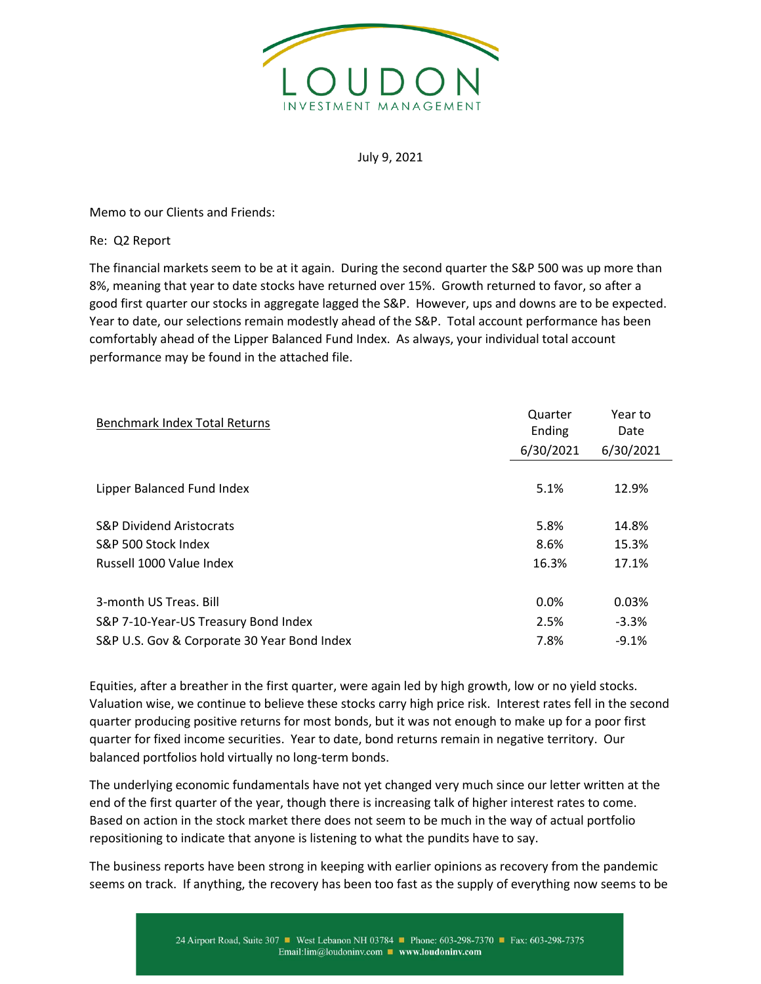

## July 9, 2021

Memo to our Clients and Friends:

Re: Q2 Report

The financial markets seem to be at it again. During the second quarter the S&P 500 was up more than 8%, meaning that year to date stocks have returned over 15%. Growth returned to favor, so after a good first quarter our stocks in aggregate lagged the S&P. However, ups and downs are to be expected. Year to date, our selections remain modestly ahead of the S&P. Total account performance has been comfortably ahead of the Lipper Balanced Fund Index. As always, your individual total account performance may be found in the attached file.

| <b>Benchmark Index Total Returns</b>        | Quarter<br>Ending | Year to<br>Date |
|---------------------------------------------|-------------------|-----------------|
|                                             | 6/30/2021         | 6/30/2021       |
|                                             |                   |                 |
| Lipper Balanced Fund Index                  | 5.1%              | 12.9%           |
| <b>S&amp;P Dividend Aristocrats</b>         | 5.8%              | 14.8%           |
| S&P 500 Stock Index                         | 8.6%              | 15.3%           |
| Russell 1000 Value Index                    | 16.3%             | 17.1%           |
| 3-month US Treas, Bill                      | 0.0%              | 0.03%           |
| S&P 7-10-Year-US Treasury Bond Index        | 2.5%              | $-3.3%$         |
| S&P U.S. Gov & Corporate 30 Year Bond Index | 7.8%              | $-9.1%$         |

Equities, after a breather in the first quarter, were again led by high growth, low or no yield stocks. Valuation wise, we continue to believe these stocks carry high price risk. Interest rates fell in the second quarter producing positive returns for most bonds, but it was not enough to make up for a poor first quarter for fixed income securities. Year to date, bond returns remain in negative territory. Our balanced portfolios hold virtually no long-term bonds.

The underlying economic fundamentals have not yet changed very much since our letter written at the end of the first quarter of the year, though there is increasing talk of higher interest rates to come. Based on action in the stock market there does not seem to be much in the way of actual portfolio repositioning to indicate that anyone is listening to what the pundits have to say.

The business reports have been strong in keeping with earlier opinions as recovery from the pandemic seems on track. If anything, the recovery has been too fast as the supply of everything now seems to be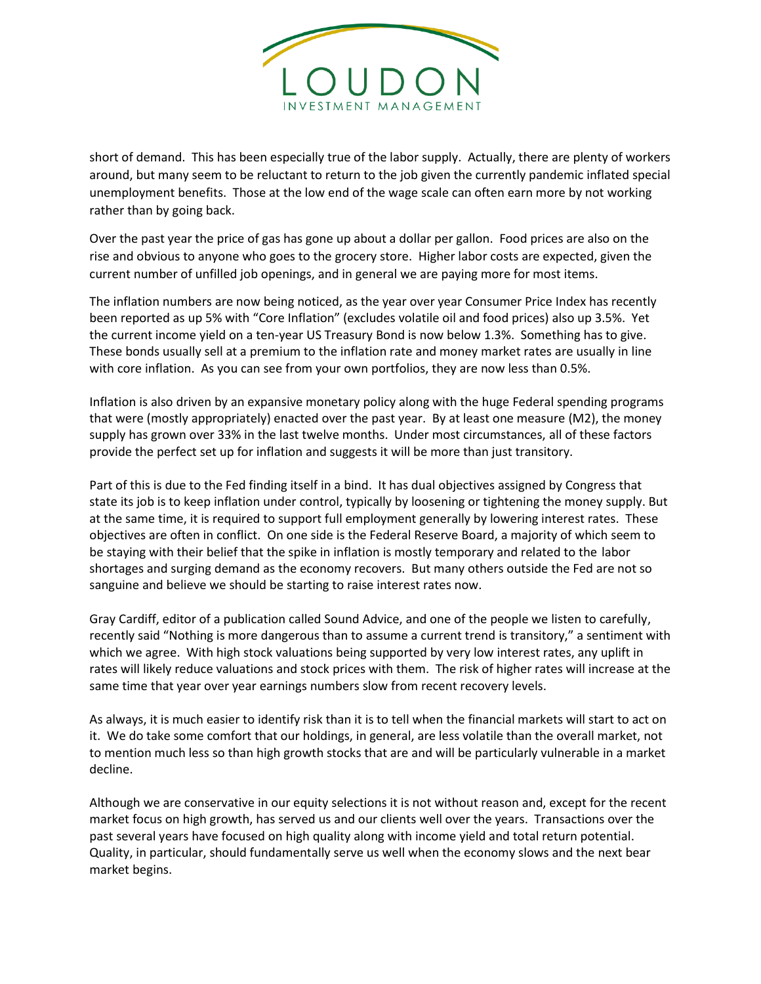

short of demand. This has been especially true of the labor supply. Actually, there are plenty of workers around, but many seem to be reluctant to return to the job given the currently pandemic inflated special unemployment benefits. Those at the low end of the wage scale can often earn more by not working rather than by going back.

Over the past year the price of gas has gone up about a dollar per gallon. Food prices are also on the rise and obvious to anyone who goes to the grocery store. Higher labor costs are expected, given the current number of unfilled job openings, and in general we are paying more for most items.

The inflation numbers are now being noticed, as the year over year Consumer Price Index has recently been reported as up 5% with "Core Inflation" (excludes volatile oil and food prices) also up 3.5%. Yet the current income yield on a ten-year US Treasury Bond is now below 1.3%. Something has to give. These bonds usually sell at a premium to the inflation rate and money market rates are usually in line with core inflation. As you can see from your own portfolios, they are now less than 0.5%.

Inflation is also driven by an expansive monetary policy along with the huge Federal spending programs that were (mostly appropriately) enacted over the past year. By at least one measure (M2), the money supply has grown over 33% in the last twelve months. Under most circumstances, all of these factors provide the perfect set up for inflation and suggests it will be more than just transitory.

Part of this is due to the Fed finding itself in a bind. It has dual objectives assigned by Congress that state its job is to keep inflation under control, typically by loosening or tightening the money supply. But at the same time, it is required to support full employment generally by lowering interest rates. These objectives are often in conflict. On one side is the Federal Reserve Board, a majority of which seem to be staying with their belief that the spike in inflation is mostly temporary and related to the labor shortages and surging demand as the economy recovers. But many others outside the Fed are not so sanguine and believe we should be starting to raise interest rates now.

Gray Cardiff, editor of a publication called Sound Advice, and one of the people we listen to carefully, recently said "Nothing is more dangerous than to assume a current trend is transitory," a sentiment with which we agree. With high stock valuations being supported by very low interest rates, any uplift in rates will likely reduce valuations and stock prices with them. The risk of higher rates will increase at the same time that year over year earnings numbers slow from recent recovery levels.

As always, it is much easier to identify risk than it is to tell when the financial markets will start to act on it. We do take some comfort that our holdings, in general, are less volatile than the overall market, not to mention much less so than high growth stocks that are and will be particularly vulnerable in a market decline.

Although we are conservative in our equity selections it is not without reason and, except for the recent market focus on high growth, has served us and our clients well over the years. Transactions over the past several years have focused on high quality along with income yield and total return potential. Quality, in particular, should fundamentally serve us well when the economy slows and the next bear market begins.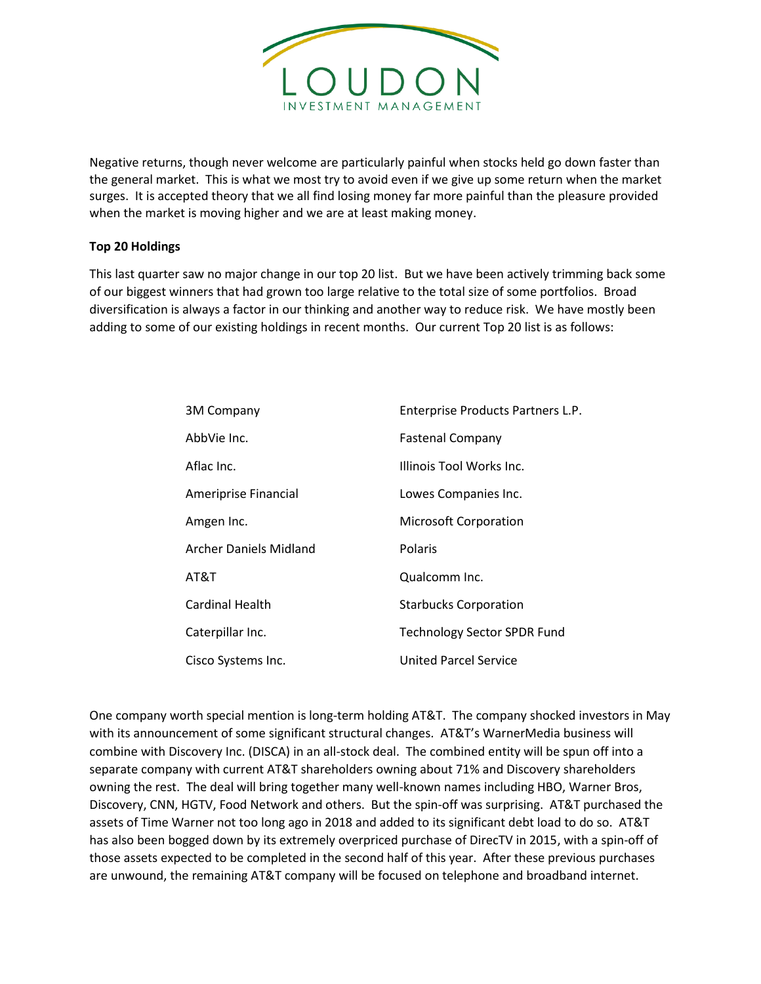

Negative returns, though never welcome are particularly painful when stocks held go down faster than the general market. This is what we most try to avoid even if we give up some return when the market surges. It is accepted theory that we all find losing money far more painful than the pleasure provided when the market is moving higher and we are at least making money.

## **Top 20 Holdings**

This last quarter saw no major change in our top 20 list. But we have been actively trimming back some of our biggest winners that had grown too large relative to the total size of some portfolios. Broad diversification is always a factor in our thinking and another way to reduce risk. We have mostly been adding to some of our existing holdings in recent months. Our current Top 20 list is as follows:

| 3M Company             | Enterprise Products Partners L.P.  |
|------------------------|------------------------------------|
| AbbVie Inc.            | <b>Fastenal Company</b>            |
| Aflac Inc.             | Illinois Tool Works Inc.           |
| Ameriprise Financial   | Lowes Companies Inc.               |
| Amgen Inc.             | <b>Microsoft Corporation</b>       |
| Archer Daniels Midland | Polaris                            |
| AT&T                   | Qualcomm Inc.                      |
| Cardinal Health        | <b>Starbucks Corporation</b>       |
| Caterpillar Inc.       | <b>Technology Sector SPDR Fund</b> |
| Cisco Systems Inc.     | United Parcel Service              |

One company worth special mention is long-term holding AT&T. The company shocked investors in May with its announcement of some significant structural changes. AT&T's WarnerMedia business will combine with Discovery Inc. (DISCA) in an all-stock deal. The combined entity will be spun off into a separate company with current AT&T shareholders owning about 71% and Discovery shareholders owning the rest. The deal will bring together many well-known names including HBO, Warner Bros, Discovery, CNN, HGTV, Food Network and others. But the spin-off was surprising. AT&T purchased the assets of Time Warner not too long ago in 2018 and added to its significant debt load to do so. AT&T has also been bogged down by its extremely overpriced purchase of DirecTV in 2015, with a spin-off of those assets expected to be completed in the second half of this year. After these previous purchases are unwound, the remaining AT&T company will be focused on telephone and broadband internet.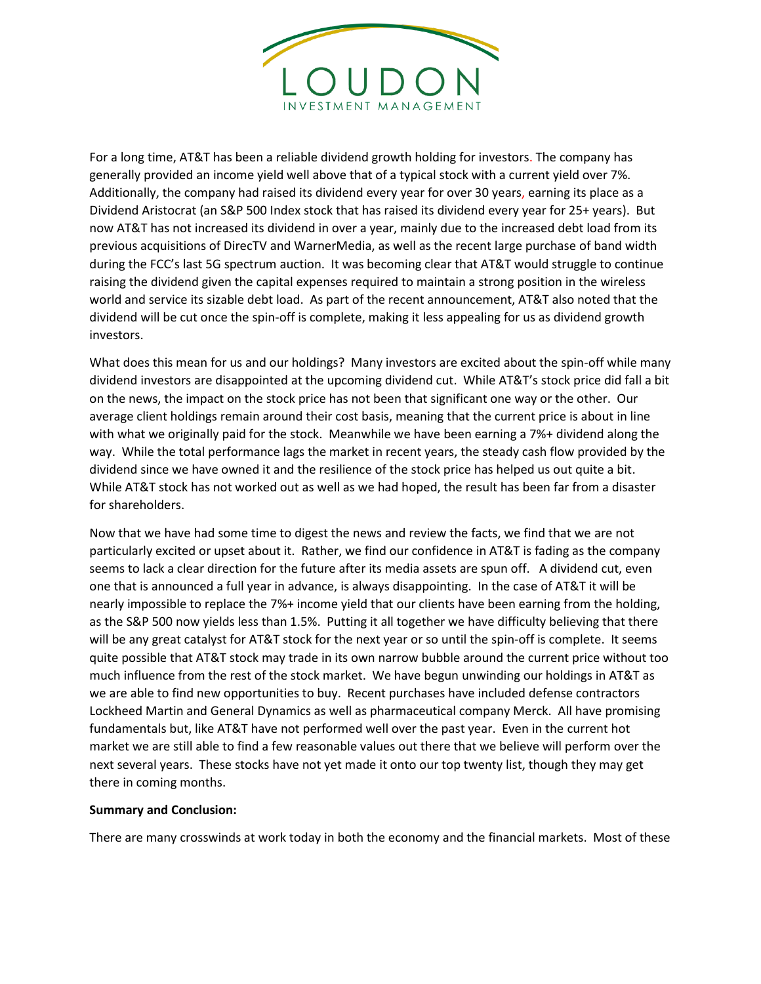

For a long time, AT&T has been a reliable dividend growth holding for investors. The company has generally provided an income yield well above that of a typical stock with a current yield over 7%. Additionally, the company had raised its dividend every year for over 30 years, earning its place as a Dividend Aristocrat (an S&P 500 Index stock that has raised its dividend every year for 25+ years). But now AT&T has not increased its dividend in over a year, mainly due to the increased debt load from its previous acquisitions of DirecTV and WarnerMedia, as well as the recent large purchase of band width during the FCC's last 5G spectrum auction. It was becoming clear that AT&T would struggle to continue raising the dividend given the capital expenses required to maintain a strong position in the wireless world and service its sizable debt load. As part of the recent announcement, AT&T also noted that the dividend will be cut once the spin-off is complete, making it less appealing for us as dividend growth investors.

What does this mean for us and our holdings? Many investors are excited about the spin-off while many dividend investors are disappointed at the upcoming dividend cut. While AT&T's stock price did fall a bit on the news, the impact on the stock price has not been that significant one way or the other. Our average client holdings remain around their cost basis, meaning that the current price is about in line with what we originally paid for the stock. Meanwhile we have been earning a 7%+ dividend along the way. While the total performance lags the market in recent years, the steady cash flow provided by the dividend since we have owned it and the resilience of the stock price has helped us out quite a bit. While AT&T stock has not worked out as well as we had hoped, the result has been far from a disaster for shareholders.

Now that we have had some time to digest the news and review the facts, we find that we are not particularly excited or upset about it. Rather, we find our confidence in AT&T is fading as the company seems to lack a clear direction for the future after its media assets are spun off. A dividend cut, even one that is announced a full year in advance, is always disappointing. In the case of AT&T it will be nearly impossible to replace the 7%+ income yield that our clients have been earning from the holding, as the S&P 500 now yields less than 1.5%. Putting it all together we have difficulty believing that there will be any great catalyst for AT&T stock for the next year or so until the spin-off is complete. It seems quite possible that AT&T stock may trade in its own narrow bubble around the current price without too much influence from the rest of the stock market. We have begun unwinding our holdings in AT&T as we are able to find new opportunities to buy. Recent purchases have included defense contractors Lockheed Martin and General Dynamics as well as pharmaceutical company Merck. All have promising fundamentals but, like AT&T have not performed well over the past year. Even in the current hot market we are still able to find a few reasonable values out there that we believe will perform over the next several years. These stocks have not yet made it onto our top twenty list, though they may get there in coming months.

## **Summary and Conclusion:**

There are many crosswinds at work today in both the economy and the financial markets. Most of these